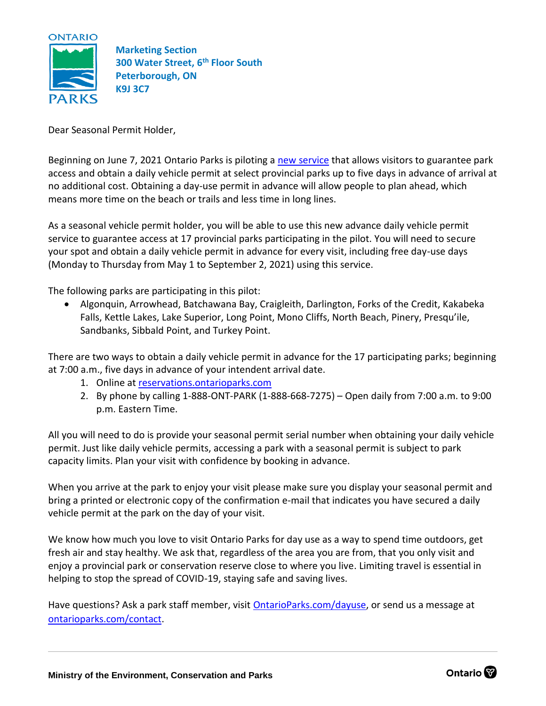

**Marketing Section 300 Water Street, 6th Floor South Peterborough, ON K9J 3C7**

Dear Seasonal Permit Holder,

Beginning on June 7, 2021 Ontario Parks is piloting a [new service](http://www.ontarioparks.com/dayuse) that allows visitors to guarantee park access and obtain a daily vehicle permit at select provincial parks up to five days in advance of arrival at no additional cost. Obtaining a day-use permit in advance will allow people to plan ahead, which means more time on the beach or trails and less time in long lines.

As a seasonal vehicle permit holder, you will be able to use this new advance daily vehicle permit service to guarantee access at 17 provincial parks participating in the pilot. You will need to secure your spot and obtain a daily vehicle permit in advance for every visit, including free day-use days (Monday to Thursday from May 1 to September 2, 2021) using this service.

The following parks are participating in this pilot:

• Algonquin, Arrowhead, Batchawana Bay, Craigleith, Darlington, Forks of the Credit, Kakabeka Falls, Kettle Lakes, Lake Superior, Long Point, Mono Cliffs, North Beach, Pinery, Presqu'ile, Sandbanks, Sibbald Point, and Turkey Point.

There are two ways to obtain a daily vehicle permit in advance for the 17 participating parks; beginning at 7:00 a.m., five days in advance of your intendent arrival date.

- 1. Online at [reservations.ontarioparks.com](https://reservations.ontarioparks.com/)
- 2. By phone by calling 1-888-ONT-PARK (1-888-668-7275) Open daily from 7:00 a.m. to 9:00 p.m. Eastern Time.

All you will need to do is provide your seasonal permit serial number when obtaining your daily vehicle permit. Just like daily vehicle permits, accessing a park with a seasonal permit is subject to park capacity limits. Plan your visit with confidence by booking in advance.

When you arrive at the park to enjoy your visit please make sure you display your seasonal permit and bring a printed or electronic copy of the confirmation e-mail that indicates you have secured a daily vehicle permit at the park on the day of your visit.

We know how much you love to visit Ontario Parks for day use as a way to spend time outdoors, get fresh air and stay healthy. We ask that, regardless of the area you are from, that you only visit and enjoy a provincial park or conservation reserve close to where you live. Limiting travel is essential in helping to stop the spread of COVID-19, staying safe and saving lives.

Have questions? Ask a park staff member, visit [OntarioParks.com/dayuse,](http://www.ontarioparks.com/dayuse) or send us a message at [ontarioparks.com/contact.](http://www.ontarioparks.com/contact)